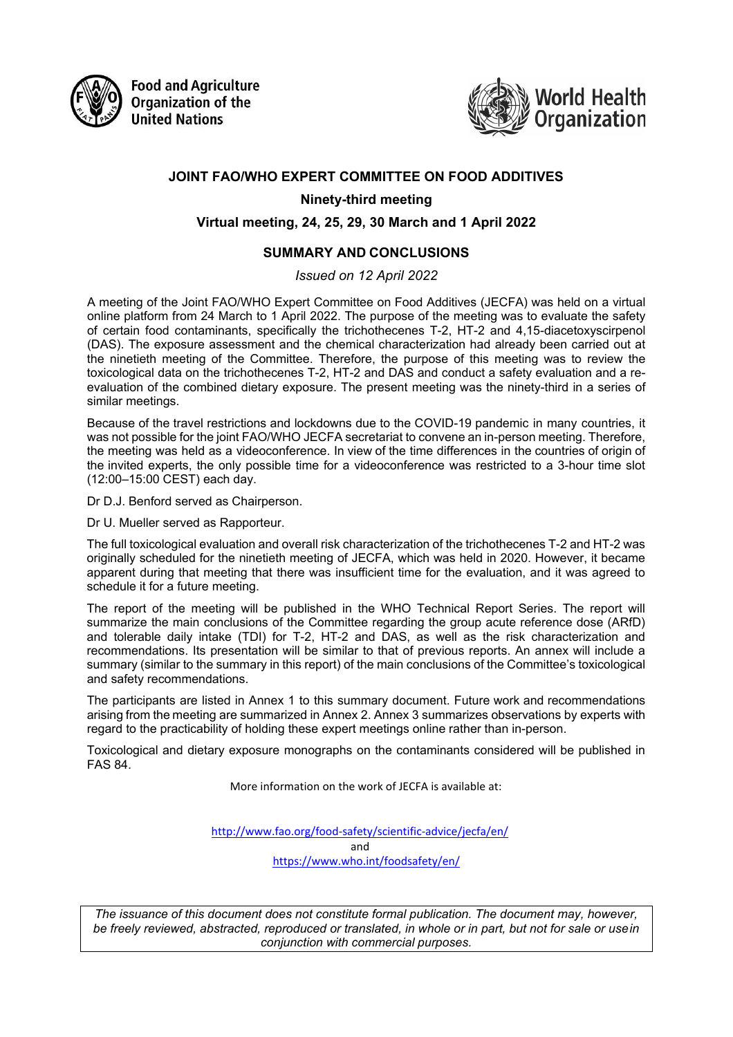

**Food and Agriculture Organization of the United Nations** 



# **JOINT FAO/WHO EXPERT COMMITTEE ON FOOD ADDITIVES**

**Ninety-third meeting** 

#### **Virtual meeting, 24, 25, 29, 30 March and 1 April 2022**

#### **SUMMARY AND CONCLUSIONS**

*Issued on 12 April 2022*

A meeting of the Joint FAO/WHO Expert Committee on Food Additives (JECFA) was held on a virtual online platform from 24 March to 1 April 2022. The purpose of the meeting was to evaluate the safety of certain food contaminants, specifically the trichothecenes T-2, HT-2 and 4,15-diacetoxyscirpenol (DAS). The exposure assessment and the chemical characterization had already been carried out at the ninetieth meeting of the Committee. Therefore, the purpose of this meeting was to review the toxicological data on the trichothecenes T-2, HT-2 and DAS and conduct a safety evaluation and a reevaluation of the combined dietary exposure. The present meeting was the ninety-third in a series of similar meetings.

Because of the travel restrictions and lockdowns due to the COVID-19 pandemic in many countries, it was not possible for the joint FAO/WHO JECFA secretariat to convene an in-person meeting. Therefore, the meeting was held as a videoconference. In view of the time differences in the countries of origin of the invited experts, the only possible time for a videoconference was restricted to a 3-hour time slot (12:00–15:00 CEST) each day.

Dr D.J. Benford served as Chairperson.

Dr U. Mueller served as Rapporteur.

The full toxicological evaluation and overall risk characterization of the trichothecenes T-2 and HT-2 was originally scheduled for the ninetieth meeting of JECFA, which was held in 2020. However, it became apparent during that meeting that there was insufficient time for the evaluation, and it was agreed to schedule it for a future meeting.

The report of the meeting will be published in the WHO Technical Report Series. The report will summarize the main conclusions of the Committee regarding the group acute reference dose (ARfD) and tolerable daily intake (TDI) for T-2, HT-2 and DAS, as well as the risk characterization and recommendations. Its presentation will be similar to that of previous reports. An annex will include a summary (similar to the summary in this report) of the main conclusions of the Committee's toxicological and safety recommendations.

The participants are listed in Annex 1 to this summary document. Future work and recommendations arising from the meeting are summarized in Annex 2. Annex 3 summarizes observations by experts with regard to the practicability of holding these expert meetings online rather than in-person.

Toxicological and dietary exposure monographs on the contaminants considered will be published in FAS 84.

More information on the work of JECFA is available at:

<http://www.fao.org/food-safety/scientific-advice/jecfa/en/> and <https://www.who.int/foodsafety/en/>

*The issuance of this document does not constitute formal publication. The document may, however, be freely reviewed, abstracted, reproduced or translated, in whole or in part, but not for sale or usein conjunction with commercial purposes.*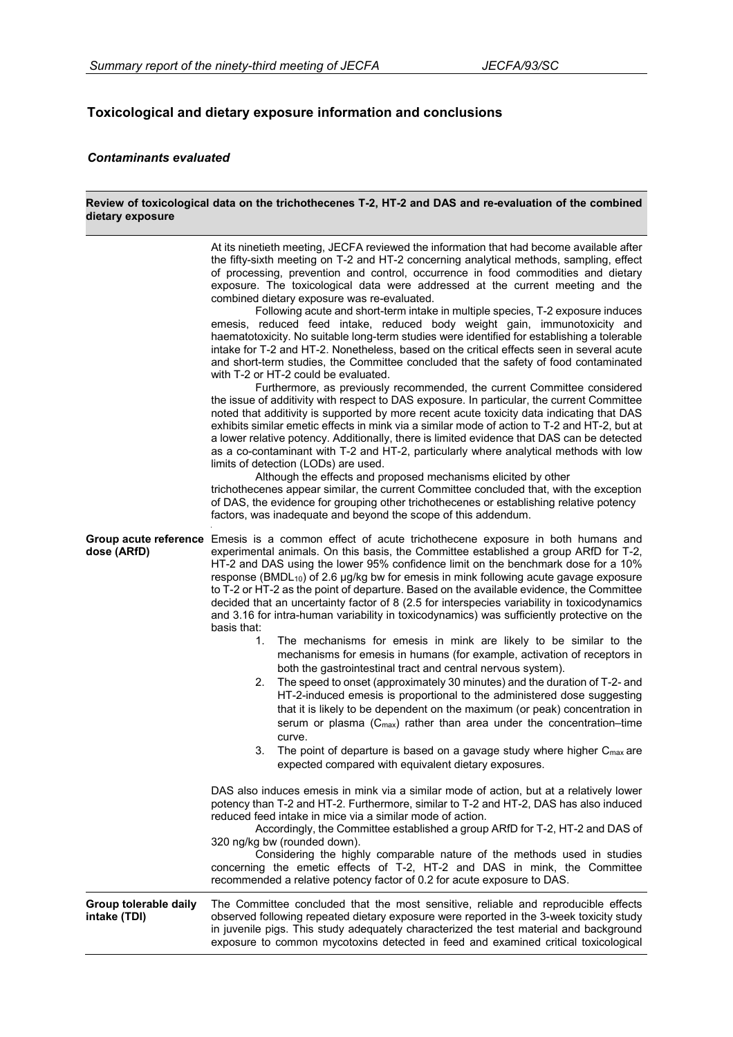#### **Toxicological and dietary exposure information and conclusions**

#### *Contaminants evaluated*

#### **dietary exposure**  At its ninetieth meeting, JECFA reviewed the information that had become available after the fifty-sixth meeting on T-2 and HT-2 concerning analytical methods, sampling, effect of processing, prevention and control, occurrence in food commodities and dietary exposure. The toxicological data were addressed at the current meeting and the combined dietary exposure was re-evaluated. Following acute and short-term intake in multiple species, T-2 exposure induces emesis, reduced feed intake, reduced body weight gain, immunotoxicity and haematotoxicity. No suitable long-term studies were identified for establishing a tolerable intake for T-2 and HT-2. Nonetheless, based on the critical effects seen in several acute and short-term studies, the Committee concluded that the safety of food contaminated with T-2 or HT-2 could be evaluated. Furthermore, as previously recommended, the current Committee considered the issue of additivity with respect to DAS exposure. In particular, the current Committee noted that additivity is supported by more recent acute toxicity data indicating that DAS exhibits similar emetic effects in mink via a similar mode of action to T-2 and HT-2, but at a lower relative potency. Additionally, there is limited evidence that DAS can be detected as a co-contaminant with T-2 and HT-2, particularly where analytical methods with low limits of detection (LODs) are used. Although the effects and proposed mechanisms elicited by other trichothecenes appear similar, the current Committee concluded that, with the exception of DAS, the evidence for grouping other trichothecenes or establishing relative potency factors, was inadequate and beyond the scope of this addendum. **Group acute reference**  Emesis is a common effect of acute trichothecene exposure in both humans and **dose (ARfD)** experimental animals. On this basis, the Committee established a group ARfD for T-2, HT-2 and DAS using the lower 95% confidence limit on the benchmark dose for a 10% response (BMDL10) of 2.6 µg/kg bw for emesis in mink following acute gavage exposure to T-2 or HT-2 as the point of departure. Based on the available evidence, the Committee decided that an uncertainty factor of 8 (2.5 for interspecies variability in toxicodynamics and 3.16 for intra-human variability in toxicodynamics) was sufficiently protective on the basis that: 1. The mechanisms for emesis in mink are likely to be similar to the mechanisms for emesis in humans (for example, activation of receptors in both the gastrointestinal tract and central nervous system). 2. The speed to onset (approximately 30 minutes) and the duration of T-2- and HT-2-induced emesis is proportional to the administered dose suggesting that it is likely to be dependent on the maximum (or peak) concentration in serum or plasma  $(C_{max})$  rather than area under the concentration–time curve. 3. The point of departure is based on a gavage study where higher C<sub>max</sub> are expected compared with equivalent dietary exposures. DAS also induces emesis in mink via a similar mode of action, but at a relatively lower potency than T-2 and HT-2. Furthermore, similar to T-2 and HT-2, DAS has also induced reduced feed intake in mice via a similar mode of action. Accordingly, the Committee established a group ARfD for T-2, HT-2 and DAS of 320 ng/kg bw (rounded down). Considering the highly comparable nature of the methods used in studies concerning the emetic effects of T-2, HT-2 and DAS in mink, the Committee recommended a relative potency factor of 0.2 for acute exposure to DAS. **Group tolerable daily intake (TDI)** The Committee concluded that the most sensitive, reliable and reproducible effects observed following repeated dietary exposure were reported in the 3-week toxicity study in juvenile pigs. This study adequately characterized the test material and background exposure to common mycotoxins detected in feed and examined critical toxicological

**Review of toxicological data on the trichothecenes T-2, HT-2 and DAS and re-evaluation of the combined**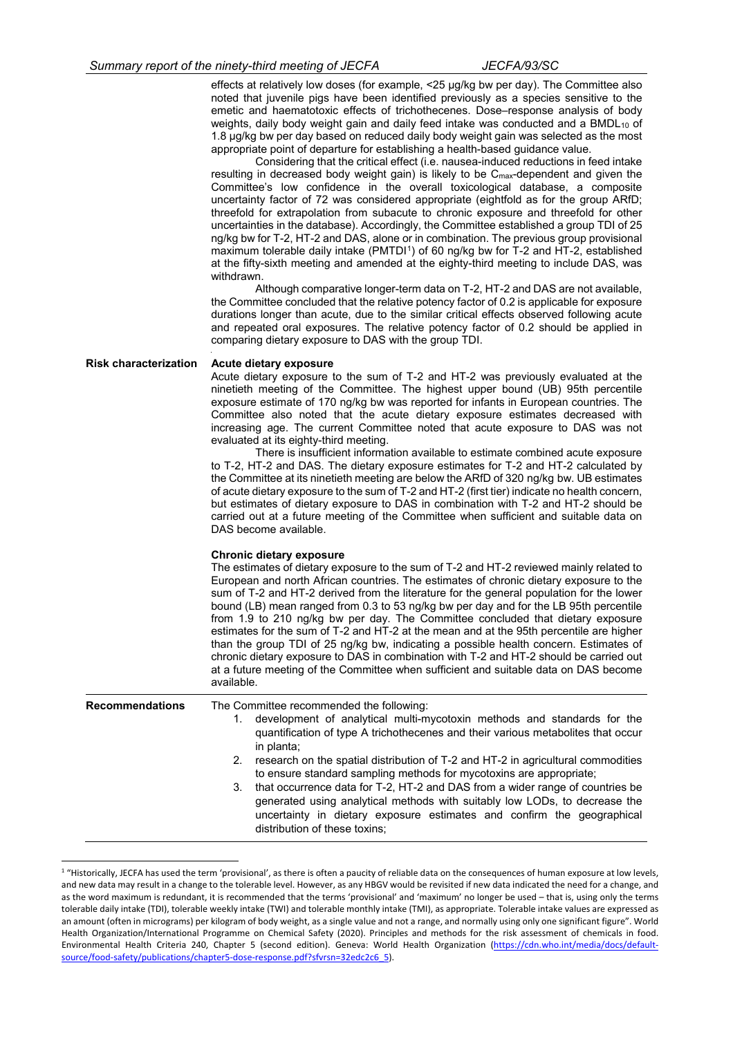|                              | Summary report of the ninety-third meeting of JECFA                                                                                                   | <i>JECFA/93/SC</i>                                                                                                                                                                                                                                                                                                                                                                                                                                                                                                                                                                                                                                                                                                                                                                                                                                                                                                                                                                                                                                                                                                                                                                                                                                                                                                                                                                                                                                                                                                                                                                                                                                                               |
|------------------------------|-------------------------------------------------------------------------------------------------------------------------------------------------------|----------------------------------------------------------------------------------------------------------------------------------------------------------------------------------------------------------------------------------------------------------------------------------------------------------------------------------------------------------------------------------------------------------------------------------------------------------------------------------------------------------------------------------------------------------------------------------------------------------------------------------------------------------------------------------------------------------------------------------------------------------------------------------------------------------------------------------------------------------------------------------------------------------------------------------------------------------------------------------------------------------------------------------------------------------------------------------------------------------------------------------------------------------------------------------------------------------------------------------------------------------------------------------------------------------------------------------------------------------------------------------------------------------------------------------------------------------------------------------------------------------------------------------------------------------------------------------------------------------------------------------------------------------------------------------|
|                              | appropriate point of departure for establishing a health-based guidance value.<br>withdrawn.<br>comparing dietary exposure to DAS with the group TDI. | effects at relatively low doses (for example, <25 µg/kg bw per day). The Committee also<br>noted that juvenile pigs have been identified previously as a species sensitive to the<br>emetic and haematotoxic effects of trichothecenes. Dose-response analysis of body<br>weights, daily body weight gain and daily feed intake was conducted and a BMDL10 of<br>1.8 µg/kg bw per day based on reduced daily body weight gain was selected as the most<br>Considering that the critical effect (i.e. nausea-induced reductions in feed intake<br>resulting in decreased body weight gain) is likely to be $C_{\text{max}}$ -dependent and given the<br>Committee's low confidence in the overall toxicological database, a composite<br>uncertainty factor of 72 was considered appropriate (eightfold as for the group ARfD;<br>threefold for extrapolation from subacute to chronic exposure and threefold for other<br>uncertainties in the database). Accordingly, the Committee established a group TDI of 25<br>ng/kg bw for T-2, HT-2 and DAS, alone or in combination. The previous group provisional<br>maximum tolerable daily intake (PMTDI <sup>1</sup> ) of 60 ng/kg bw for T-2 and HT-2, established<br>at the fifty-sixth meeting and amended at the eighty-third meeting to include DAS, was<br>Although comparative longer-term data on T-2, HT-2 and DAS are not available,<br>the Committee concluded that the relative potency factor of 0.2 is applicable for exposure<br>durations longer than acute, due to the similar critical effects observed following acute<br>and repeated oral exposures. The relative potency factor of 0.2 should be applied in |
| <b>Risk characterization</b> | Acute dietary exposure<br>evaluated at its eighty-third meeting.<br>DAS become available.                                                             | Acute dietary exposure to the sum of T-2 and HT-2 was previously evaluated at the<br>ninetieth meeting of the Committee. The highest upper bound (UB) 95th percentile<br>exposure estimate of 170 ng/kg bw was reported for infants in European countries. The<br>Committee also noted that the acute dietary exposure estimates decreased with<br>increasing age. The current Committee noted that acute exposure to DAS was not<br>There is insufficient information available to estimate combined acute exposure<br>to T-2, HT-2 and DAS. The dietary exposure estimates for T-2 and HT-2 calculated by<br>the Committee at its ninetieth meeting are below the ARfD of 320 ng/kg bw. UB estimates<br>of acute dietary exposure to the sum of T-2 and HT-2 (first tier) indicate no health concern,<br>but estimates of dietary exposure to DAS in combination with T-2 and HT-2 should be<br>carried out at a future meeting of the Committee when sufficient and suitable data on                                                                                                                                                                                                                                                                                                                                                                                                                                                                                                                                                                                                                                                                                          |
|                              | <b>Chronic dietary exposure</b><br>available.                                                                                                         | The estimates of dietary exposure to the sum of T-2 and HT-2 reviewed mainly related to<br>European and north African countries. The estimates of chronic dietary exposure to the<br>sum of T-2 and HT-2 derived from the literature for the general population for the lower<br>bound (LB) mean ranged from 0.3 to 53 ng/kg bw per day and for the LB 95th percentile<br>from 1.9 to 210 ng/kg bw per day. The Committee concluded that dietary exposure<br>estimates for the sum of T-2 and HT-2 at the mean and at the 95th percentile are higher<br>than the group TDI of 25 ng/kg bw, indicating a possible health concern. Estimates of<br>chronic dietary exposure to DAS in combination with T-2 and HT-2 should be carried out<br>at a future meeting of the Committee when sufficient and suitable data on DAS become                                                                                                                                                                                                                                                                                                                                                                                                                                                                                                                                                                                                                                                                                                                                                                                                                                                  |
| <b>Recommendations</b>       | The Committee recommended the following:<br>1.<br>in planta;<br>2.<br>3.<br>distribution of these toxins;                                             | development of analytical multi-mycotoxin methods and standards for the<br>quantification of type A trichothecenes and their various metabolites that occur<br>research on the spatial distribution of T-2 and HT-2 in agricultural commodities<br>to ensure standard sampling methods for mycotoxins are appropriate;<br>that occurrence data for T-2, HT-2 and DAS from a wider range of countries be<br>generated using analytical methods with suitably low LODs, to decrease the<br>uncertainty in dietary exposure estimates and confirm the geographical                                                                                                                                                                                                                                                                                                                                                                                                                                                                                                                                                                                                                                                                                                                                                                                                                                                                                                                                                                                                                                                                                                                  |

<span id="page-2-0"></span><sup>&</sup>lt;sup>1</sup> "Historically, JECFA has used the term 'provisional', as there is often a paucity of reliable data on the consequences of human exposure at low levels, and new data may result in a change to the tolerable level. However, as any HBGV would be revisited if new data indicated the need for a change, and as the word maximum is redundant, it is recommended that the terms 'provisional' and 'maximum' no longer be used – that is, using only the terms tolerable daily intake (TDI), tolerable weekly intake (TWI) and tolerable monthly intake (TMI), as appropriate. Tolerable intake values are expressed as an amount (often in micrograms) per kilogram of body weight, as a single value and not a range, and normally using only one significant figure". World Health Organization/International Programme on Chemical Safety (2020). Principles and methods for the risk assessment of chemicals in food. Environmental Health Criteria 240, Chapter 5 (second edition). Geneva: World Health Organization [\(https://cdn.who.int/media/docs/default](https://cdn.who.int/media/docs/default-source/food-safety/publications/chapter5-dose-response.pdf?sfvrsn=32edc2c6_5)[source/food-safety/publications/chapter5-dose-response.pdf?sfvrsn=32edc2c6\\_5\)](https://cdn.who.int/media/docs/default-source/food-safety/publications/chapter5-dose-response.pdf?sfvrsn=32edc2c6_5).

-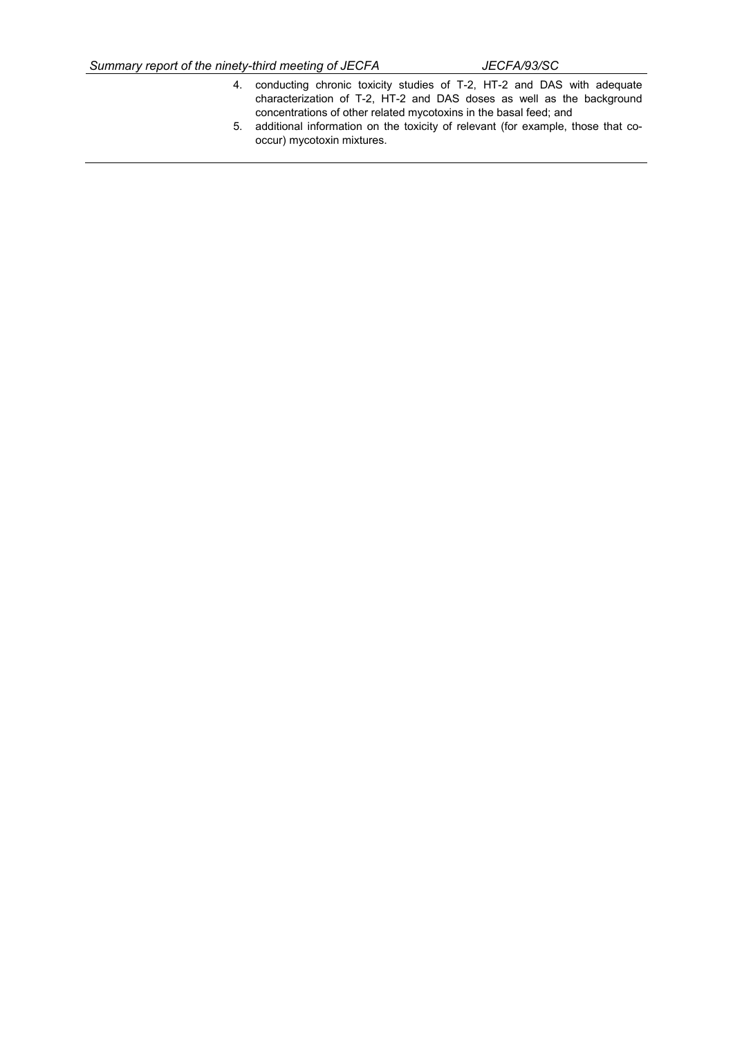- 4. conducting chronic toxicity studies of T-2, HT-2 and DAS with adequate characterization of T-2, HT-2 and DAS doses as well as the background concentrations of other related mycotoxins in the basal feed; and
- 5. additional information on the toxicity of relevant (for example, those that cooccur) mycotoxin mixtures.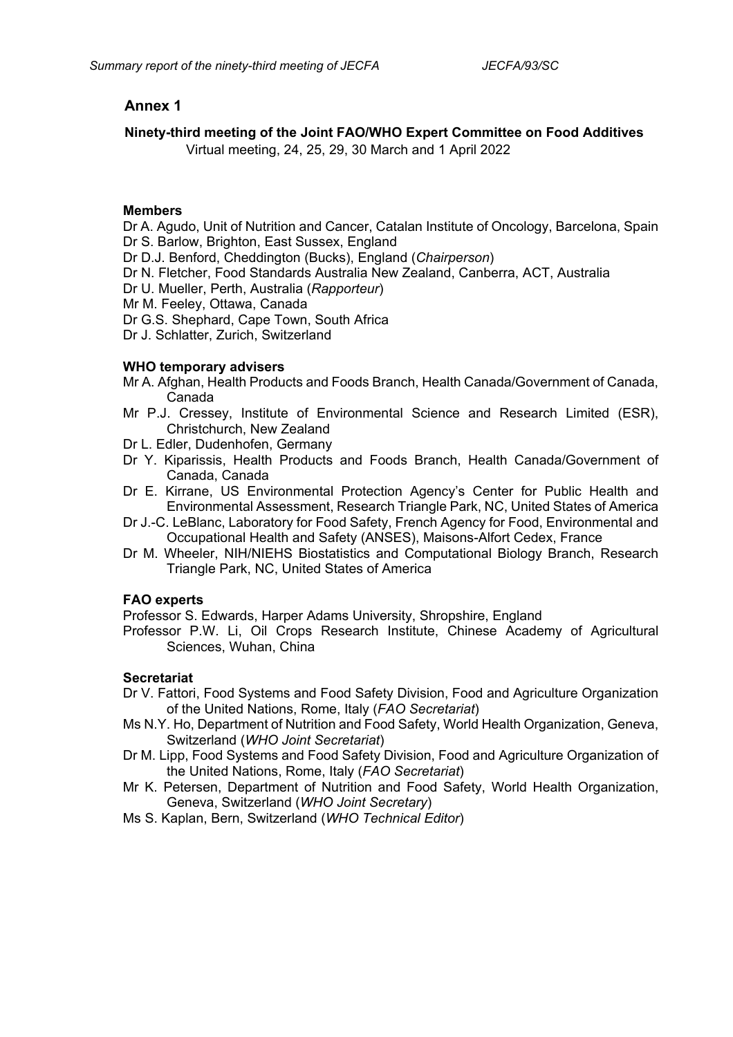# **Annex 1**

### **Ninety-third meeting of the Joint FAO/WHO Expert Committee on Food Additives**

Virtual meeting, 24, 25, 29, 30 March and 1 April 2022

### **Members**

Dr A. Agudo, Unit of Nutrition and Cancer, Catalan Institute of Oncology, Barcelona, Spain Dr S. Barlow, Brighton, East Sussex, England

- Dr D.J. Benford, Cheddington (Bucks), England (*Chairperson*)
- Dr N. Fletcher, Food Standards Australia New Zealand, Canberra, ACT, Australia
- Dr U. Mueller, Perth, Australia (*Rapporteur*)
- Mr M. Feeley, Ottawa, Canada
- Dr G.S. Shephard, Cape Town, South Africa
- Dr J. Schlatter, Zurich, Switzerland

#### **WHO temporary advisers**

- Mr A. Afghan, Health Products and Foods Branch, Health Canada/Government of Canada, Canada
- Mr P.J. Cressey, Institute of Environmental Science and Research Limited (ESR), Christchurch, New Zealand
- Dr L. Edler, Dudenhofen, Germany
- Dr Y. Kiparissis, Health Products and Foods Branch, Health Canada/Government of Canada, Canada
- Dr E. Kirrane, US Environmental Protection Agency's Center for Public Health and Environmental Assessment, Research Triangle Park, NC, United States of America
- Dr J.-C. LeBlanc, Laboratory for Food Safety, French Agency for Food, Environmental and Occupational Health and Safety (ANSES), Maisons-Alfort Cedex, France
- Dr M. Wheeler, NIH/NIEHS Biostatistics and Computational Biology Branch, Research Triangle Park, NC, United States of America

#### **FAO experts**

Professor S. Edwards, Harper Adams University, Shropshire, England

Professor P.W. Li, Oil Crops Research Institute, Chinese Academy of Agricultural Sciences, Wuhan, China

## **Secretariat**

- Dr V. Fattori, Food Systems and Food Safety Division, Food and Agriculture Organization of the United Nations, Rome, Italy (*FAO Secretariat*)
- Ms N.Y. Ho, Department of Nutrition and Food Safety, World Health Organization, Geneva, Switzerland (*WHO Joint Secretariat*)
- Dr M. Lipp, Food Systems and Food Safety Division, Food and Agriculture Organization of the United Nations, Rome, Italy (*FAO Secretariat*)
- Mr K. Petersen, Department of Nutrition and Food Safety, World Health Organization, Geneva, Switzerland (*WHO Joint Secretary*)
- Ms S. Kaplan, Bern, Switzerland (*WHO Technical Editor*)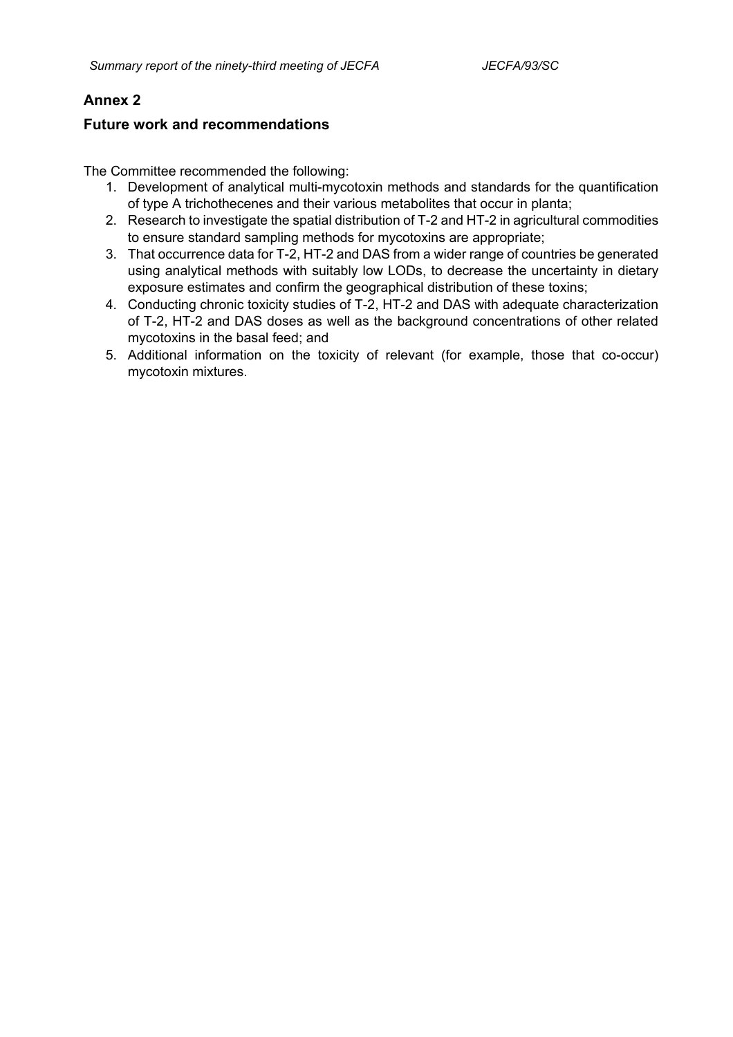# **Annex 2**

## **Future work and recommendations**

The Committee recommended the following:

- 1. Development of analytical multi-mycotoxin methods and standards for the quantification of type A trichothecenes and their various metabolites that occur in planta;
- 2. Research to investigate the spatial distribution of T-2 and HT-2 in agricultural commodities to ensure standard sampling methods for mycotoxins are appropriate;
- 3. That occurrence data for T-2, HT-2 and DAS from a wider range of countries be generated using analytical methods with suitably low LODs, to decrease the uncertainty in dietary exposure estimates and confirm the geographical distribution of these toxins;
- 4. Conducting chronic toxicity studies of T-2, HT-2 and DAS with adequate characterization of T-2, HT-2 and DAS doses as well as the background concentrations of other related mycotoxins in the basal feed; and
- 5. Additional information on the toxicity of relevant (for example, those that co-occur) mycotoxin mixtures.